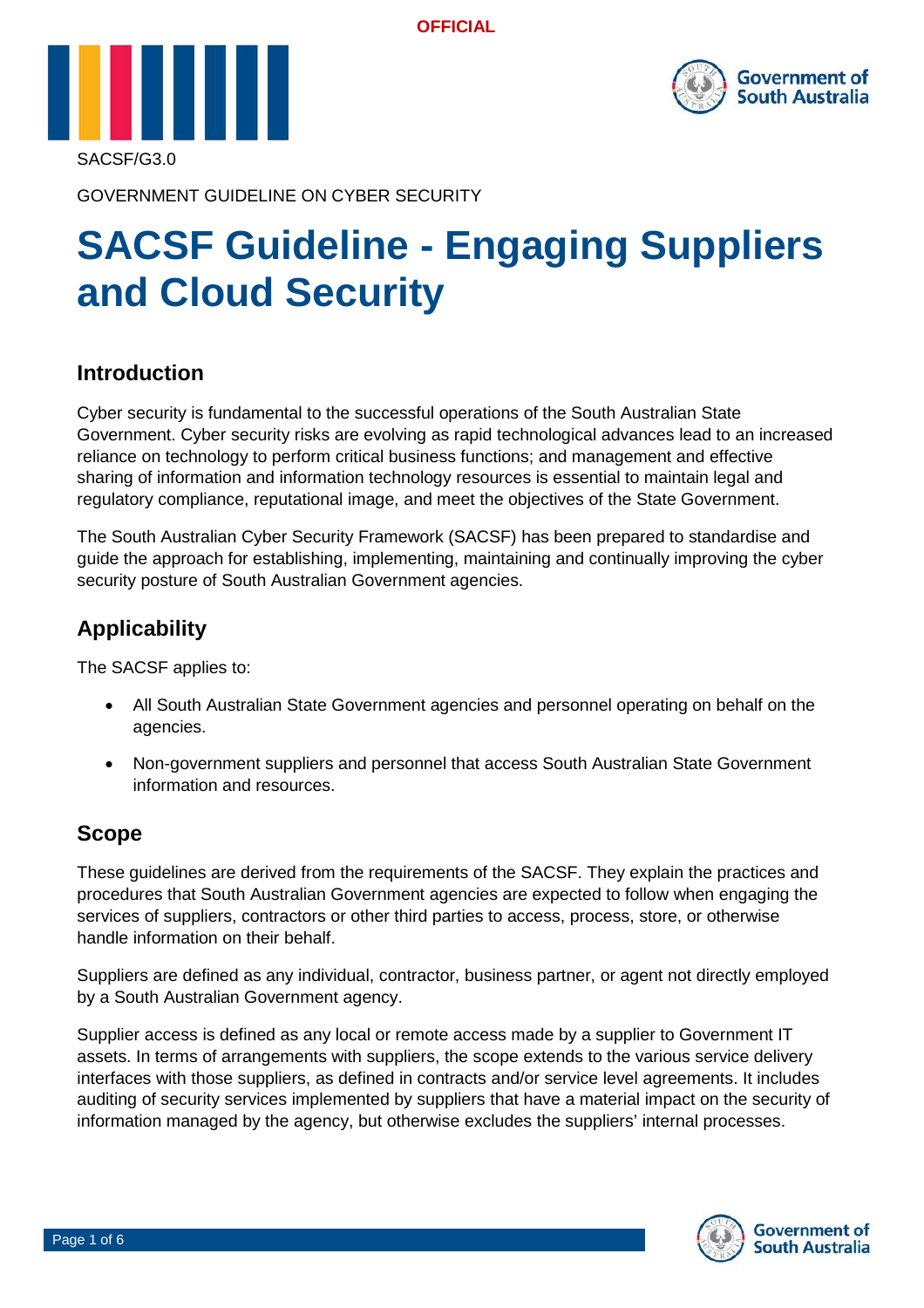**OFFICIAL**





GOVERNMENT GUIDELINE ON CYBER SECURITY

# **SACSF Guideline - Engaging Suppliers and Cloud Security**

## **Introduction**

Cyber security is fundamental to the successful operations of the South Australian State Government. Cyber security risks are evolving as rapid technological advances lead to an increased reliance on technology to perform critical business functions; and management and effective sharing of information and information technology resources is essential to maintain legal and regulatory compliance, reputational image, and meet the objectives of the State Government.

The South Australian Cyber Security Framework (SACSF) has been prepared to standardise and guide the approach for establishing, implementing, maintaining and continually improving the cyber security posture of South Australian Government agencies.

## **Applicability**

The SACSF applies to:

- All South Australian State Government agencies and personnel operating on behalf on the agencies.
- Non-government suppliers and personnel that access South Australian State Government information and resources.

## **Scope**

These guidelines are derived from the requirements of the SACSF. They explain the practices and procedures that South Australian Government agencies are expected to follow when engaging the services of suppliers, contractors or other third parties to access, process, store, or otherwise handle information on their behalf.

Suppliers are defined as any individual, contractor, business partner, or agent not directly employed by a South Australian Government agency.

Supplier access is defined as any local or remote access made by a supplier to Government IT assets. In terms of arrangements with suppliers, the scope extends to the various service delivery interfaces with those suppliers, as defined in contracts and/or service level agreements. It includes auditing of security services implemented by suppliers that have a material impact on the security of information managed by the agency, but otherwise excludes the suppliers' internal processes.

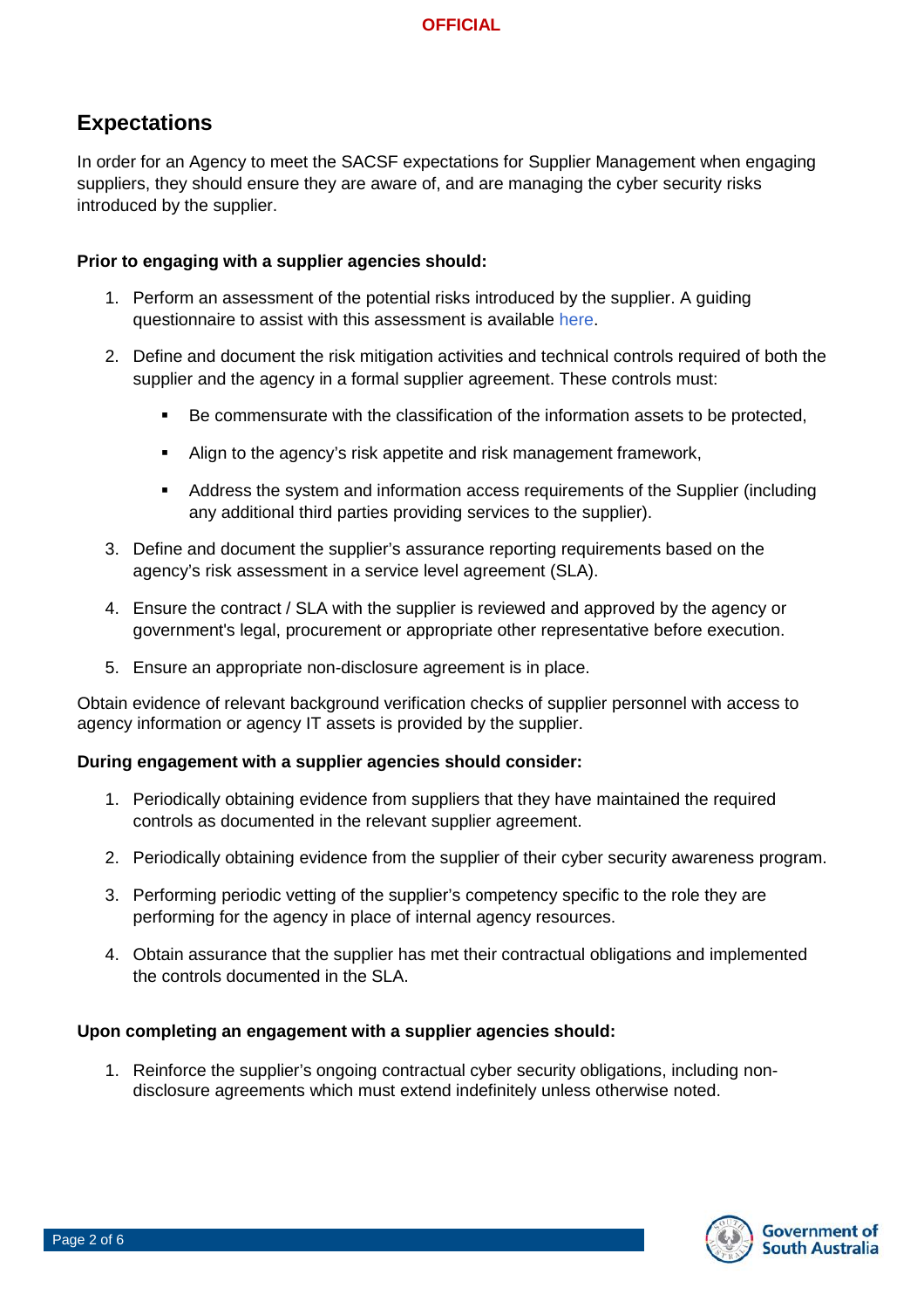## **Expectations**

In order for an Agency to meet the SACSF expectations for Supplier Management when engaging suppliers, they should ensure they are aware of, and are managing the cyber security risks introduced by the supplier.

#### **Prior to engaging with a supplier agencies should:**

- 1. Perform an assessment of the potential risks introduced by the supplier. A guiding questionnaire to assist with this assessment is available [here.](https://teams.microsoft.com/l/channel/19%3a21a0ec5c83264523b6b87beb1b472afe%40thread.skype/Cyber%2520Security?groupId=c20049c4-4243-4b91-89d3-05cffcae1b73&tenantId=bda528f7-fca9-432f-bc98-bd7e90d40906)
- 2. Define and document the risk mitigation activities and technical controls required of both the supplier and the agency in a formal supplier agreement. These controls must:
	- Be commensurate with the classification of the information assets to be protected,
	- Align to the agency's risk appetite and risk management framework,
	- Address the system and information access requirements of the Supplier (including any additional third parties providing services to the supplier).
- 3. Define and document the supplier's assurance reporting requirements based on the agency's risk assessment in a service level agreement (SLA).
- 4. Ensure the contract / SLA with the supplier is reviewed and approved by the agency or government's legal, procurement or appropriate other representative before execution.
- 5. Ensure an appropriate non-disclosure agreement is in place.

Obtain evidence of relevant background verification checks of supplier personnel with access to agency information or agency IT assets is provided by the supplier.

#### **During engagement with a supplier agencies should consider:**

- 1. Periodically obtaining evidence from suppliers that they have maintained the required controls as documented in the relevant supplier agreement.
- 2. Periodically obtaining evidence from the supplier of their cyber security awareness program.
- 3. Performing periodic vetting of the supplier's competency specific to the role they are performing for the agency in place of internal agency resources.
- 4. Obtain assurance that the supplier has met their contractual obligations and implemented the controls documented in the SLA.

#### **Upon completing an engagement with a supplier agencies should:**

1. Reinforce the supplier's ongoing contractual cyber security obligations, including nondisclosure agreements which must extend indefinitely unless otherwise noted.

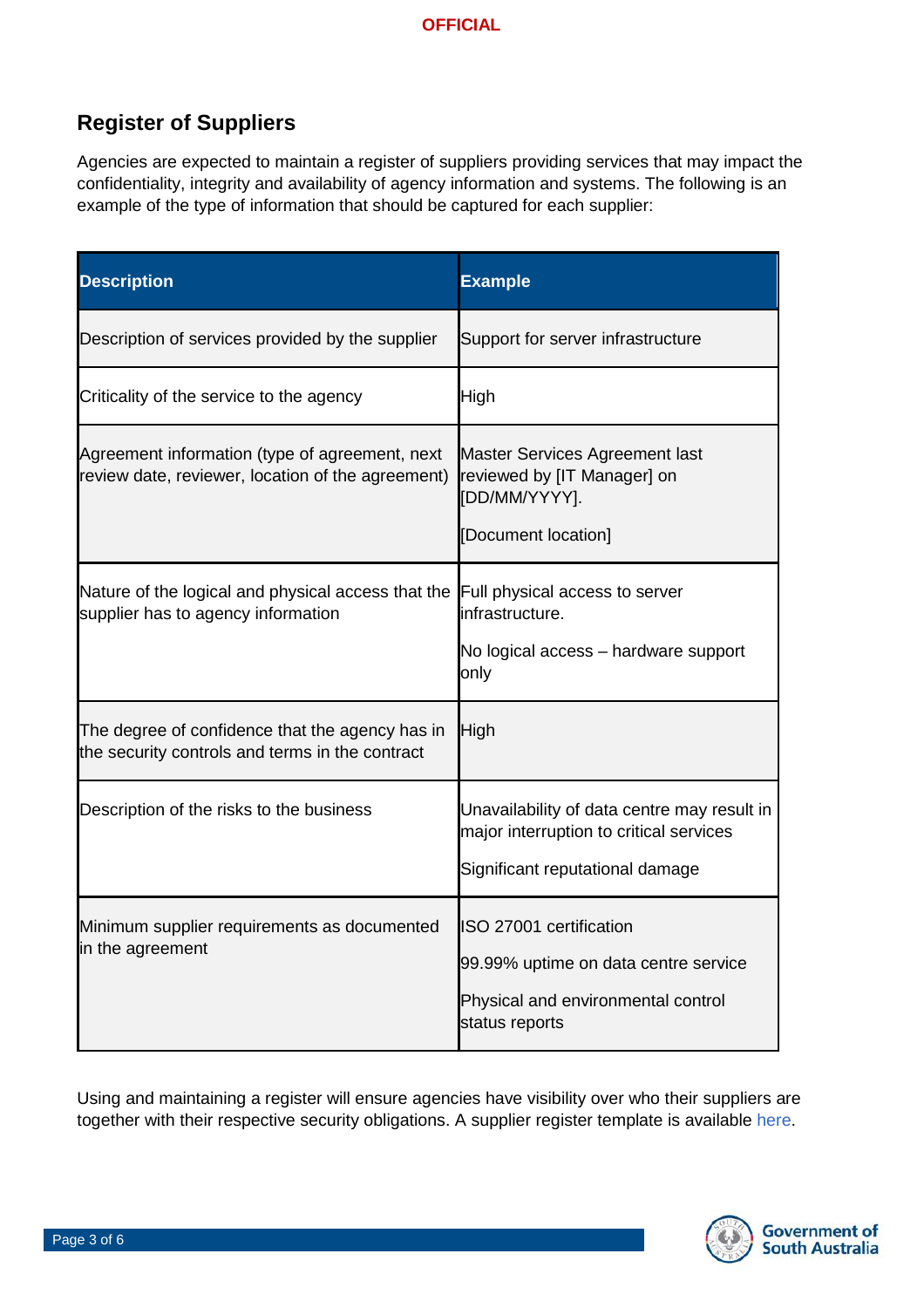# **Register of Suppliers**

Agencies are expected to maintain a register of suppliers providing services that may impact the confidentiality, integrity and availability of agency information and systems. The following is an example of the type of information that should be captured for each supplier:

| <b>Description</b>                                                                                  | <b>Example</b>                                                                                                            |
|-----------------------------------------------------------------------------------------------------|---------------------------------------------------------------------------------------------------------------------------|
| Description of services provided by the supplier                                                    | Support for server infrastructure                                                                                         |
| Criticality of the service to the agency                                                            | High                                                                                                                      |
| Agreement information (type of agreement, next<br>review date, reviewer, location of the agreement) | Master Services Agreement last<br>reviewed by [IT Manager] on<br>[DD/MM/YYYY].<br>[Document location]                     |
| Nature of the logical and physical access that the<br>supplier has to agency information            | Full physical access to server<br>infrastructure.<br>No logical access - hardware support<br>only                         |
| The degree of confidence that the agency has in<br>the security controls and terms in the contract  | High                                                                                                                      |
| Description of the risks to the business                                                            | Unavailability of data centre may result in<br>major interruption to critical services<br>Significant reputational damage |
| Minimum supplier requirements as documented<br>in the agreement                                     | ISO 27001 certification<br>99.99% uptime on data centre service<br>Physical and environmental control<br>status reports   |

Using and maintaining a register will ensure agencies have visibility over who their suppliers are together with their respective security obligations. A supplier register template is available [here.](https://teams.microsoft.com/l/channel/19%3a21a0ec5c83264523b6b87beb1b472afe%40thread.skype/Cyber%2520Security?groupId=c20049c4-4243-4b91-89d3-05cffcae1b73&tenantId=bda528f7-fca9-432f-bc98-bd7e90d40906)

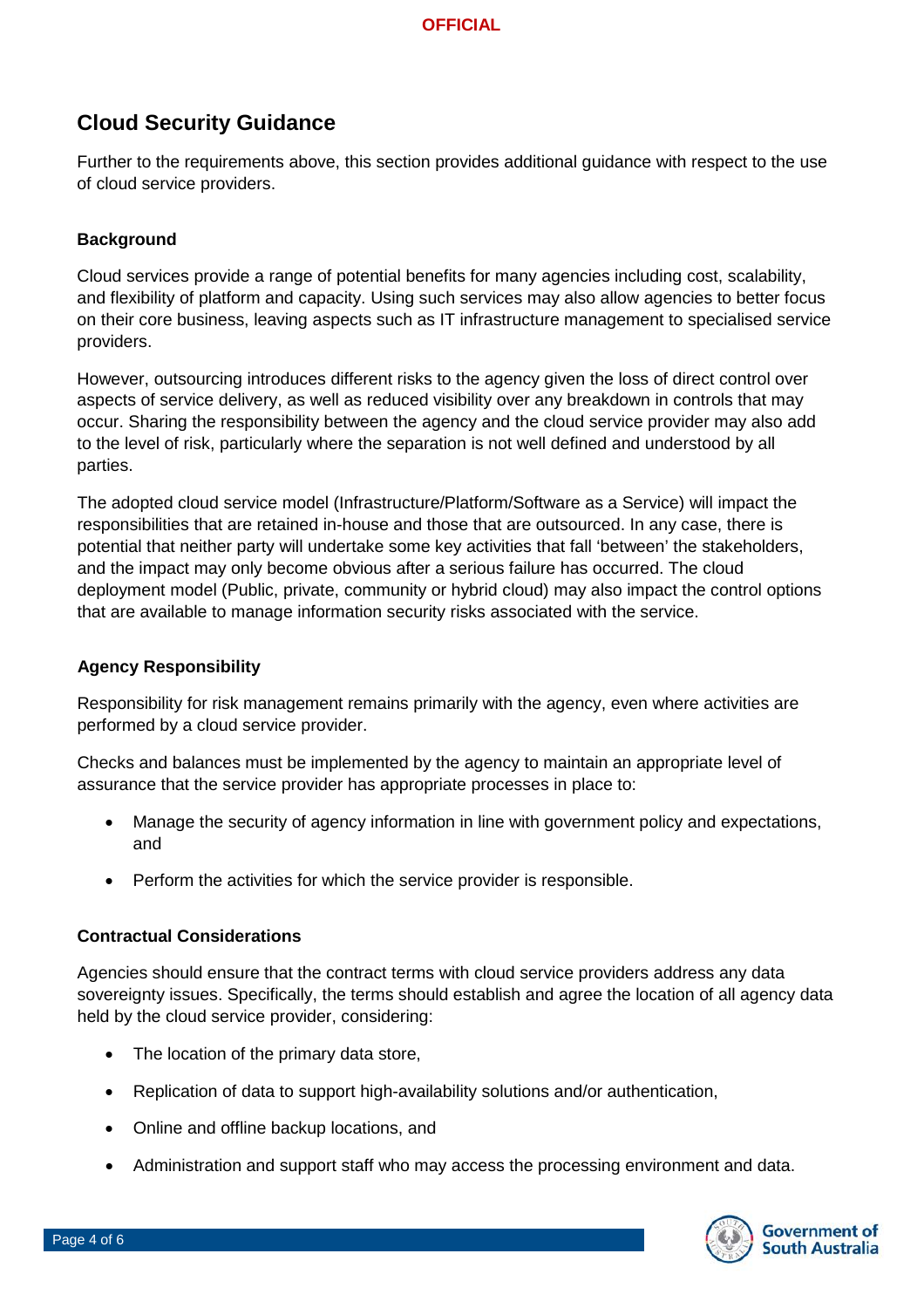#### **OFFICIAL**

## **Cloud Security Guidance**

Further to the requirements above, this section provides additional guidance with respect to the use of cloud service providers.

#### **Background**

Cloud services provide a range of potential benefits for many agencies including cost, scalability, and flexibility of platform and capacity. Using such services may also allow agencies to better focus on their core business, leaving aspects such as IT infrastructure management to specialised service providers.

However, outsourcing introduces different risks to the agency given the loss of direct control over aspects of service delivery, as well as reduced visibility over any breakdown in controls that may occur. Sharing the responsibility between the agency and the cloud service provider may also add to the level of risk, particularly where the separation is not well defined and understood by all parties.

The adopted cloud service model (Infrastructure/Platform/Software as a Service) will impact the responsibilities that are retained in-house and those that are outsourced. In any case, there is potential that neither party will undertake some key activities that fall 'between' the stakeholders, and the impact may only become obvious after a serious failure has occurred. The cloud deployment model (Public, private, community or hybrid cloud) may also impact the control options that are available to manage information security risks associated with the service.

#### **Agency Responsibility**

Responsibility for risk management remains primarily with the agency, even where activities are performed by a cloud service provider.

Checks and balances must be implemented by the agency to maintain an appropriate level of assurance that the service provider has appropriate processes in place to:

- Manage the security of agency information in line with government policy and expectations, and
- Perform the activities for which the service provider is responsible.

#### **Contractual Considerations**

Agencies should ensure that the contract terms with cloud service providers address any data sovereignty issues. Specifically, the terms should establish and agree the location of all agency data held by the cloud service provider, considering:

- The location of the primary data store,
- Replication of data to support high-availability solutions and/or authentication,
- Online and offline backup locations, and
- Administration and support staff who may access the processing environment and data.

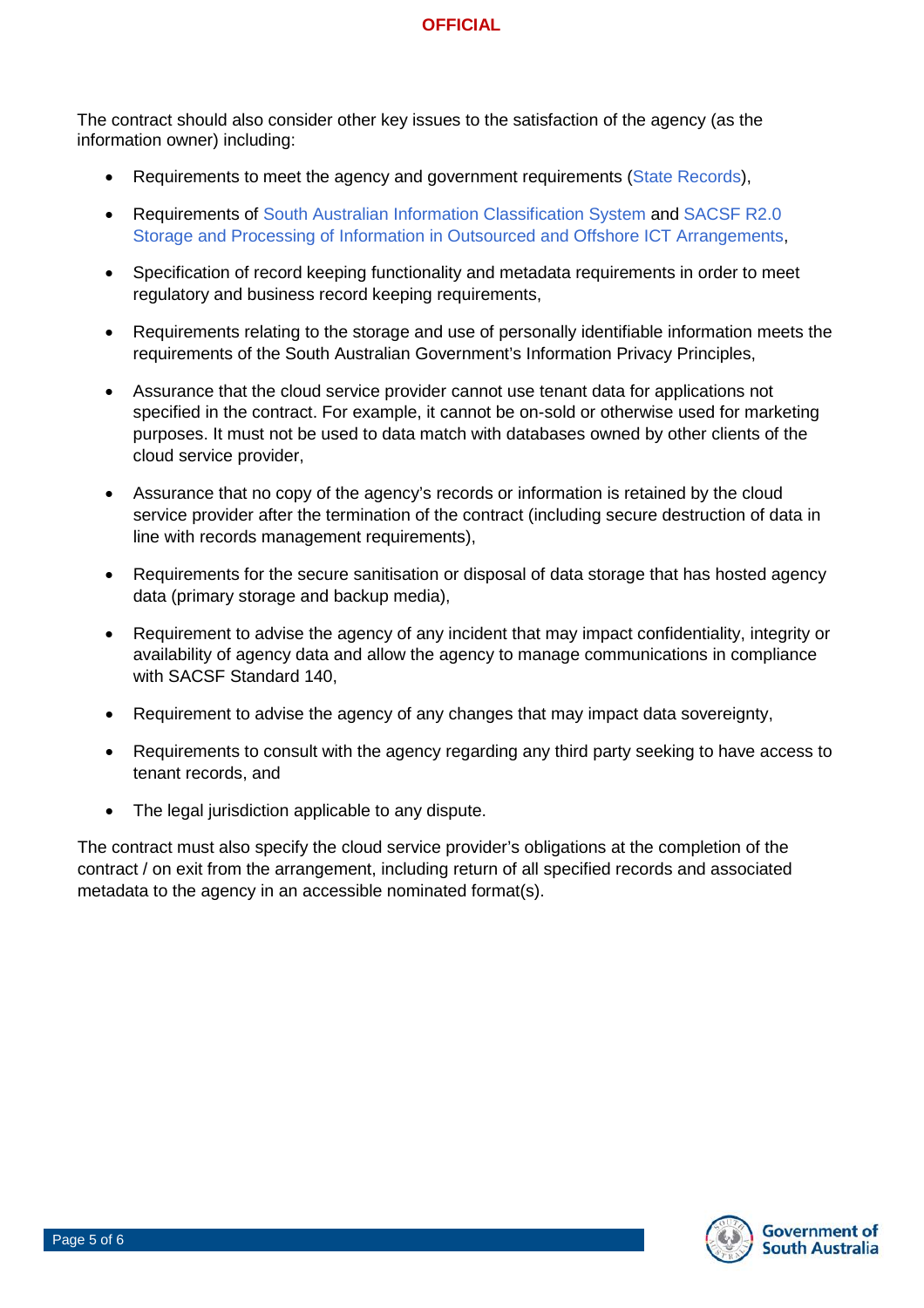The contract should also consider other key issues to the satisfaction of the agency (as the information owner) including:

- Requirements to meet the agency and government requirements [\(State Records\)](https://archives.sa.gov.au/managing-information/policies-and-guidelines/by-title),
- Requirements of [South Australian Information Classification System](https://www.dpc.sa.gov.au/responsibilities/protective-security-framework/information-security/south-australian-information-classification-system) and [SACSF R2.0](https://www.dpc.sa.gov.au/responsibilities/protective-security-framework/cyber-security/the-sacsf)  [Storage and Processing of Information in Outsourced and Offshore ICT Arrangements,](https://www.dpc.sa.gov.au/responsibilities/protective-security-framework/cyber-security/the-sacsf)
- Specification of record keeping functionality and metadata requirements in order to meet regulatory and business record keeping requirements,
- Requirements relating to the storage and use of personally identifiable information meets the requirements of the South Australian Government's Information Privacy Principles,
- Assurance that the cloud service provider cannot use tenant data for applications not specified in the contract. For example, it cannot be on-sold or otherwise used for marketing purposes. It must not be used to data match with databases owned by other clients of the cloud service provider,
- Assurance that no copy of the agency's records or information is retained by the cloud service provider after the termination of the contract (including secure destruction of data in line with records management requirements),
- Requirements for the secure sanitisation or disposal of data storage that has hosted agency data (primary storage and backup media),
- Requirement to advise the agency of any incident that may impact confidentiality, integrity or availability of agency data and allow the agency to manage communications in compliance with SACSF Standard 140,
- Requirement to advise the agency of any changes that may impact data sovereignty,
- Requirements to consult with the agency regarding any third party seeking to have access to tenant records, and
- The legal jurisdiction applicable to any dispute.

The contract must also specify the cloud service provider's obligations at the completion of the contract / on exit from the arrangement, including return of all specified records and associated metadata to the agency in an accessible nominated format(s).